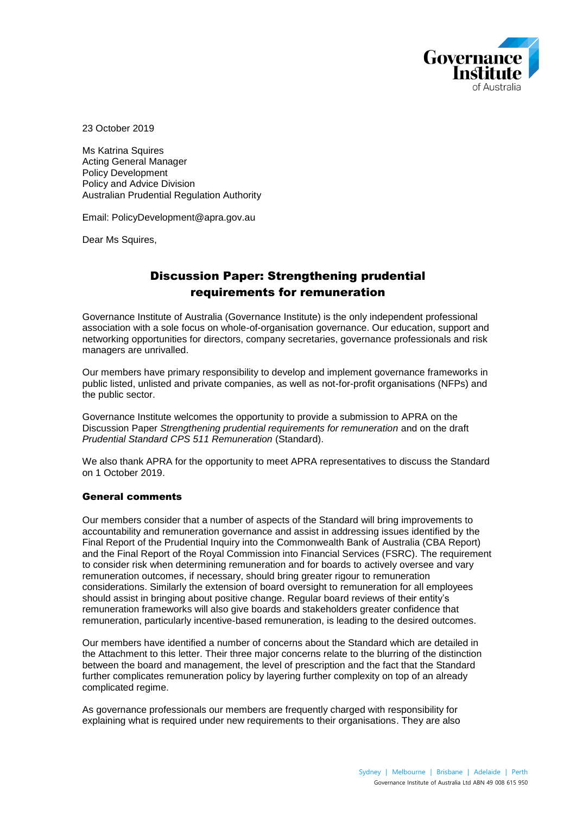

23 October 2019

Ms Katrina Squires Acting General Manager Policy Development Policy and Advice Division Australian Prudential Regulation Authority

Email: PolicyDevelopment@apra.gov.au

Dear Ms Squires,

# Discussion Paper: Strengthening prudential requirements for remuneration

Governance Institute of Australia (Governance Institute) is the only independent professional association with a sole focus on whole-of-organisation governance. Our education, support and networking opportunities for directors, company secretaries, governance professionals and risk managers are unrivalled.

Our members have primary responsibility to develop and implement governance frameworks in public listed, unlisted and private companies, as well as not-for-profit organisations (NFPs) and the public sector.

Governance Institute welcomes the opportunity to provide a submission to APRA on the Discussion Paper *Strengthening prudential requirements for remuneration* and on the draft *Prudential Standard CPS 511 Remuneration* (Standard).

We also thank APRA for the opportunity to meet APRA representatives to discuss the Standard on 1 October 2019.

### General comments

Our members consider that a number of aspects of the Standard will bring improvements to accountability and remuneration governance and assist in addressing issues identified by the Final Report of the Prudential Inquiry into the Commonwealth Bank of Australia (CBA Report) and the Final Report of the Royal Commission into Financial Services (FSRC). The requirement to consider risk when determining remuneration and for boards to actively oversee and vary remuneration outcomes, if necessary, should bring greater rigour to remuneration considerations. Similarly the extension of board oversight to remuneration for all employees should assist in bringing about positive change. Regular board reviews of their entity's remuneration frameworks will also give boards and stakeholders greater confidence that remuneration, particularly incentive-based remuneration, is leading to the desired outcomes.

Our members have identified a number of concerns about the Standard which are detailed in the Attachment to this letter. Their three major concerns relate to the blurring of the distinction between the board and management, the level of prescription and the fact that the Standard further complicates remuneration policy by layering further complexity on top of an already complicated regime.

As governance professionals our members are frequently charged with responsibility for explaining what is required under new requirements to their organisations. They are also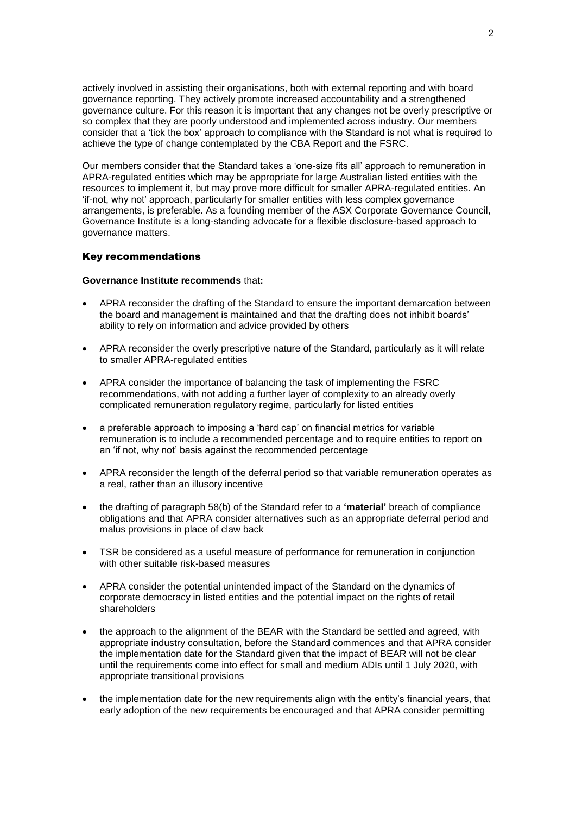actively involved in assisting their organisations, both with external reporting and with board governance reporting. They actively promote increased accountability and a strengthened governance culture. For this reason it is important that any changes not be overly prescriptive or so complex that they are poorly understood and implemented across industry. Our members consider that a 'tick the box' approach to compliance with the Standard is not what is required to achieve the type of change contemplated by the CBA Report and the FSRC.

Our members consider that the Standard takes a 'one-size fits all' approach to remuneration in APRA-regulated entities which may be appropriate for large Australian listed entities with the resources to implement it, but may prove more difficult for smaller APRA-regulated entities. An 'if-not, why not' approach, particularly for smaller entities with less complex governance arrangements, is preferable. As a founding member of the ASX Corporate Governance Council, Governance Institute is a long-standing advocate for a flexible disclosure-based approach to governance matters.

### Key recommendations

### **Governance Institute recommends** that**:**

- APRA reconsider the drafting of the Standard to ensure the important demarcation between the board and management is maintained and that the drafting does not inhibit boards' ability to rely on information and advice provided by others
- APRA reconsider the overly prescriptive nature of the Standard, particularly as it will relate to smaller APRA-regulated entities
- APRA consider the importance of balancing the task of implementing the FSRC recommendations, with not adding a further layer of complexity to an already overly complicated remuneration regulatory regime, particularly for listed entities
- a preferable approach to imposing a 'hard cap' on financial metrics for variable remuneration is to include a recommended percentage and to require entities to report on an 'if not, why not' basis against the recommended percentage
- APRA reconsider the length of the deferral period so that variable remuneration operates as a real, rather than an illusory incentive
- the drafting of paragraph 58(b) of the Standard refer to a **'material'** breach of compliance obligations and that APRA consider alternatives such as an appropriate deferral period and malus provisions in place of claw back
- TSR be considered as a useful measure of performance for remuneration in conjunction with other suitable risk-based measures
- APRA consider the potential unintended impact of the Standard on the dynamics of corporate democracy in listed entities and the potential impact on the rights of retail shareholders
- the approach to the alignment of the BEAR with the Standard be settled and agreed, with appropriate industry consultation, before the Standard commences and that APRA consider the implementation date for the Standard given that the impact of BEAR will not be clear until the requirements come into effect for small and medium ADIs until 1 July 2020, with appropriate transitional provisions
- the implementation date for the new requirements align with the entity's financial years, that early adoption of the new requirements be encouraged and that APRA consider permitting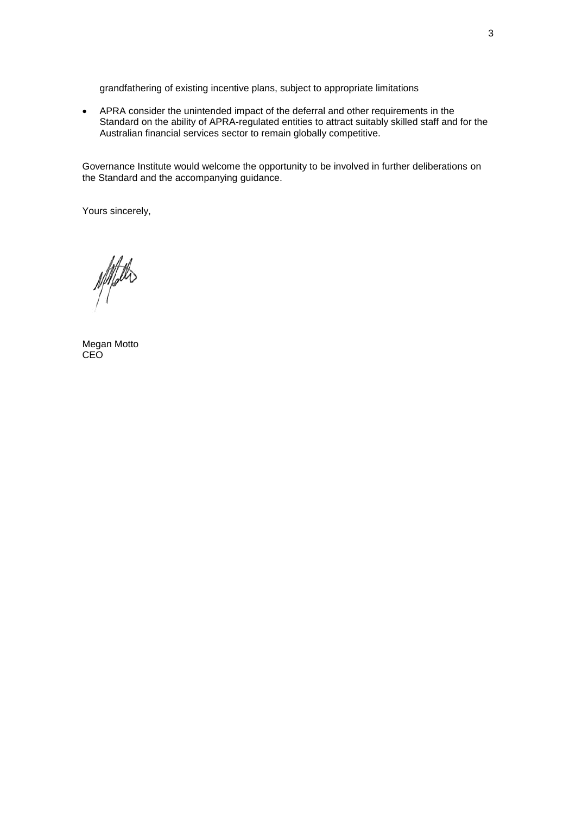grandfathering of existing incentive plans, subject to appropriate limitations

 APRA consider the unintended impact of the deferral and other requirements in the Standard on the ability of APRA-regulated entities to attract suitably skilled staff and for the Australian financial services sector to remain globally competitive.

Governance Institute would welcome the opportunity to be involved in further deliberations on the Standard and the accompanying guidance.

Yours sincerely,

Noted

Megan Motto **CEO**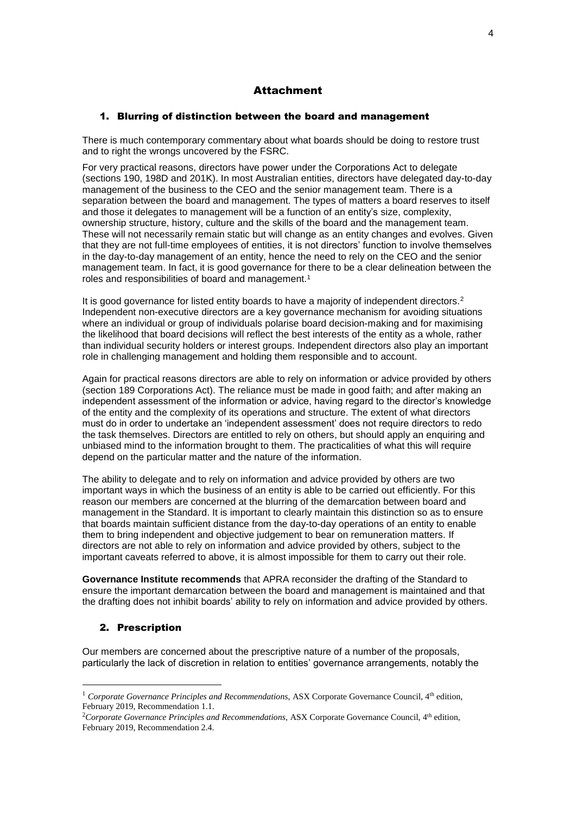## Attachment

### 1. Blurring of distinction between the board and management

There is much contemporary commentary about what boards should be doing to restore trust and to right the wrongs uncovered by the FSRC.

For very practical reasons, directors have power under the Corporations Act to delegate (sections 190, 198D and 201K). In most Australian entities, directors have delegated day-to-day management of the business to the CEO and the senior management team. There is a separation between the board and management. The types of matters a board reserves to itself and those it delegates to management will be a function of an entity's size, complexity, ownership structure, history, culture and the skills of the board and the management team. These will not necessarily remain static but will change as an entity changes and evolves. Given that they are not full-time employees of entities, it is not directors' function to involve themselves in the day-to-day management of an entity, hence the need to rely on the CEO and the senior management team. In fact, it is good governance for there to be a clear delineation between the roles and responsibilities of board and management.<sup>1</sup>

It is good governance for listed entity boards to have a majority of independent directors.<sup>2</sup> Independent non-executive directors are a key governance mechanism for avoiding situations where an individual or group of individuals polarise board decision-making and for maximising the likelihood that board decisions will reflect the best interests of the entity as a whole, rather than individual security holders or interest groups. Independent directors also play an important role in challenging management and holding them responsible and to account.

Again for practical reasons directors are able to rely on information or advice provided by others (section 189 Corporations Act). The reliance must be made in good faith; and after making an independent assessment of the information or advice, having regard to the director's knowledge of the entity and the complexity of its operations and structure. The extent of what directors must do in order to undertake an 'independent assessment' does not require directors to redo the task themselves. Directors are entitled to rely on others, but should apply an enquiring and unbiased mind to the information brought to them. The practicalities of what this will require depend on the particular matter and the nature of the information.

The ability to delegate and to rely on information and advice provided by others are two important ways in which the business of an entity is able to be carried out efficiently. For this reason our members are concerned at the blurring of the demarcation between board and management in the Standard. It is important to clearly maintain this distinction so as to ensure that boards maintain sufficient distance from the day-to-day operations of an entity to enable them to bring independent and objective judgement to bear on remuneration matters. If directors are not able to rely on information and advice provided by others, subject to the important caveats referred to above, it is almost impossible for them to carry out their role.

**Governance Institute recommends** that APRA reconsider the drafting of the Standard to ensure the important demarcation between the board and management is maintained and that the drafting does not inhibit boards' ability to rely on information and advice provided by others.

## 2. Prescription

1

Our members are concerned about the prescriptive nature of a number of the proposals, particularly the lack of discretion in relation to entities' governance arrangements, notably the

<sup>&</sup>lt;sup>1</sup> Corporate Governance Principles and Recommendations, ASX Corporate Governance Council, 4<sup>th</sup> edition, February 2019, Recommendation 1.1.

<sup>&</sup>lt;sup>2</sup>Corporate Governance Principles and Recommendations, ASX Corporate Governance Council, 4<sup>th</sup> edition, February 2019, Recommendation 2.4.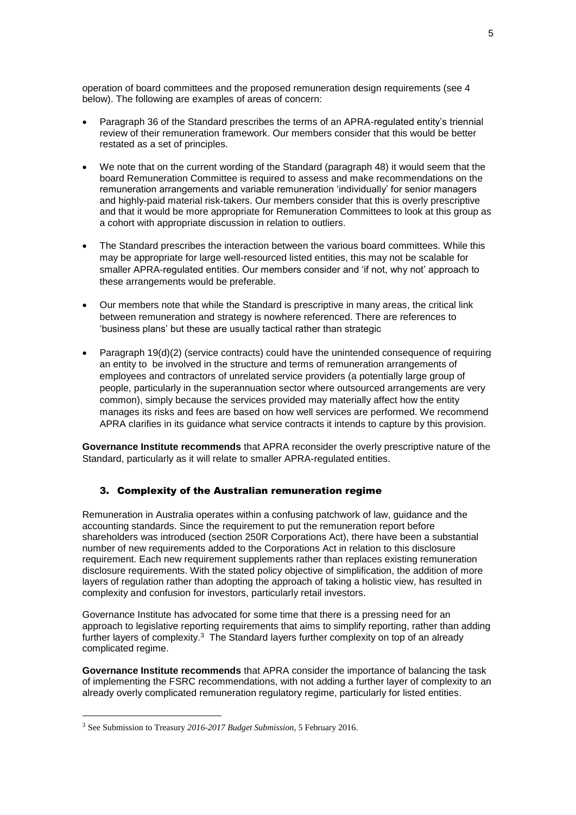operation of board committees and the proposed remuneration design requirements (see 4 below). The following are examples of areas of concern:

- Paragraph 36 of the Standard prescribes the terms of an APRA-regulated entity's triennial review of their remuneration framework. Our members consider that this would be better restated as a set of principles.
- We note that on the current wording of the Standard (paragraph 48) it would seem that the board Remuneration Committee is required to assess and make recommendations on the remuneration arrangements and variable remuneration 'individually' for senior managers and highly-paid material risk-takers. Our members consider that this is overly prescriptive and that it would be more appropriate for Remuneration Committees to look at this group as a cohort with appropriate discussion in relation to outliers.
- The Standard prescribes the interaction between the various board committees. While this may be appropriate for large well-resourced listed entities, this may not be scalable for smaller APRA-regulated entities. Our members consider and 'if not, why not' approach to these arrangements would be preferable.
- Our members note that while the Standard is prescriptive in many areas, the critical link between remuneration and strategy is nowhere referenced. There are references to 'business plans' but these are usually tactical rather than strategic
- Paragraph 19(d)(2) (service contracts) could have the unintended consequence of requiring an entity to be involved in the structure and terms of remuneration arrangements of employees and contractors of unrelated service providers (a potentially large group of people, particularly in the superannuation sector where outsourced arrangements are very common), simply because the services provided may materially affect how the entity manages its risks and fees are based on how well services are performed. We recommend APRA clarifies in its guidance what service contracts it intends to capture by this provision.

**Governance Institute recommends** that APRA reconsider the overly prescriptive nature of the Standard, particularly as it will relate to smaller APRA-regulated entities.

## 3. Complexity of the Australian remuneration regime

Remuneration in Australia operates within a confusing patchwork of law, guidance and the accounting standards. Since the requirement to put the remuneration report before shareholders was introduced (section 250R Corporations Act), there have been a substantial number of new requirements added to the Corporations Act in relation to this disclosure requirement. Each new requirement supplements rather than replaces existing remuneration disclosure requirements. With the stated policy objective of simplification, the addition of more layers of regulation rather than adopting the approach of taking a holistic view, has resulted in complexity and confusion for investors, particularly retail investors.

Governance Institute has advocated for some time that there is a pressing need for an approach to legislative reporting requirements that aims to simplify reporting, rather than adding further layers of complexity.<sup>3</sup> The Standard layers further complexity on top of an already complicated regime.

**Governance Institute recommends** that APRA consider the importance of balancing the task of implementing the FSRC recommendations, with not adding a further layer of complexity to an already overly complicated remuneration regulatory regime, particularly for listed entities.

<u>.</u>

<sup>3</sup> See Submission to Treasury *2016-2017 Budget Submission*, 5 February 2016.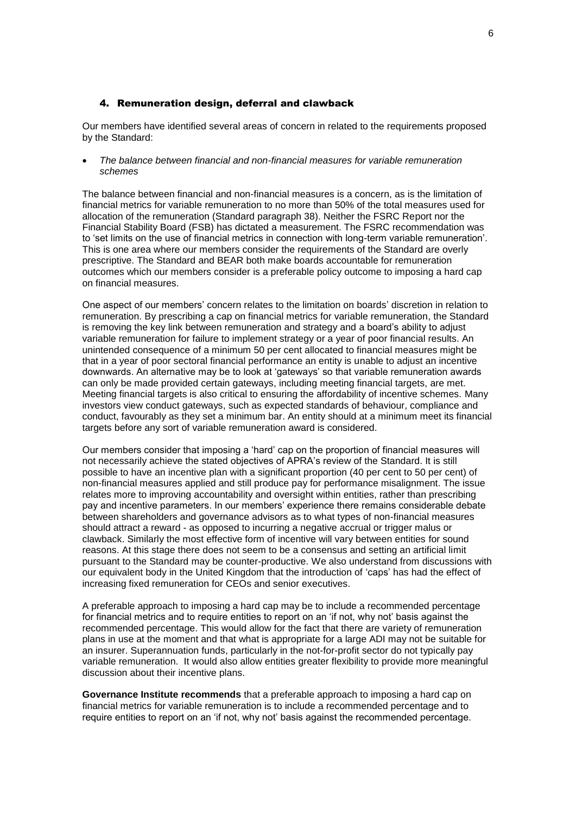### 4. Remuneration design, deferral and clawback

Our members have identified several areas of concern in related to the requirements proposed by the Standard:

 *The balance between financial and non-financial measures for variable remuneration schemes*

The balance between financial and non-financial measures is a concern, as is the limitation of financial metrics for variable remuneration to no more than 50% of the total measures used for allocation of the remuneration (Standard paragraph 38). Neither the FSRC Report nor the Financial Stability Board (FSB) has dictated a measurement. The FSRC recommendation was to 'set limits on the use of financial metrics in connection with long-term variable remuneration'. This is one area where our members consider the requirements of the Standard are overly prescriptive. The Standard and BEAR both make boards accountable for remuneration outcomes which our members consider is a preferable policy outcome to imposing a hard cap on financial measures.

One aspect of our members' concern relates to the limitation on boards' discretion in relation to remuneration. By prescribing a cap on financial metrics for variable remuneration, the Standard is removing the key link between remuneration and strategy and a board's ability to adjust variable remuneration for failure to implement strategy or a year of poor financial results. An unintended consequence of a minimum 50 per cent allocated to financial measures might be that in a year of poor sectoral financial performance an entity is unable to adjust an incentive downwards. An alternative may be to look at 'gateways' so that variable remuneration awards can only be made provided certain gateways, including meeting financial targets, are met. Meeting financial targets is also critical to ensuring the affordability of incentive schemes. Many investors view conduct gateways, such as expected standards of behaviour, compliance and conduct, favourably as they set a minimum bar. An entity should at a minimum meet its financial targets before any sort of variable remuneration award is considered.

Our members consider that imposing a 'hard' cap on the proportion of financial measures will not necessarily achieve the stated objectives of APRA's review of the Standard. It is still possible to have an incentive plan with a significant proportion (40 per cent to 50 per cent) of non-financial measures applied and still produce pay for performance misalignment. The issue relates more to improving accountability and oversight within entities, rather than prescribing pay and incentive parameters. In our members' experience there remains considerable debate between shareholders and governance advisors as to what types of non-financial measures should attract a reward - as opposed to incurring a negative accrual or trigger malus or clawback. Similarly the most effective form of incentive will vary between entities for sound reasons. At this stage there does not seem to be a consensus and setting an artificial limit pursuant to the Standard may be counter-productive. We also understand from discussions with our equivalent body in the United Kingdom that the introduction of 'caps' has had the effect of increasing fixed remuneration for CEOs and senior executives.

A preferable approach to imposing a hard cap may be to include a recommended percentage for financial metrics and to require entities to report on an 'if not, why not' basis against the recommended percentage. This would allow for the fact that there are variety of remuneration plans in use at the moment and that what is appropriate for a large ADI may not be suitable for an insurer. Superannuation funds, particularly in the not-for-profit sector do not typically pay variable remuneration. It would also allow entities greater flexibility to provide more meaningful discussion about their incentive plans.

**Governance Institute recommends** that a preferable approach to imposing a hard cap on financial metrics for variable remuneration is to include a recommended percentage and to require entities to report on an 'if not, why not' basis against the recommended percentage.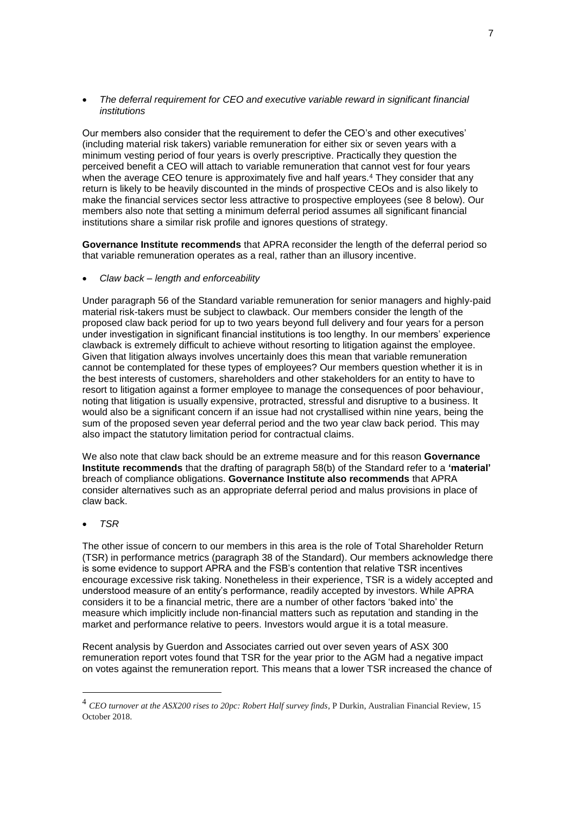*The deferral requirement for CEO and executive variable reward in significant financial institutions* 

Our members also consider that the requirement to defer the CEO's and other executives' (including material risk takers) variable remuneration for either six or seven years with a minimum vesting period of four years is overly prescriptive. Practically they question the perceived benefit a CEO will attach to variable remuneration that cannot vest for four years when the average CEO tenure is approximately five and half years.<sup>4</sup> They consider that any return is likely to be heavily discounted in the minds of prospective CEOs and is also likely to make the financial services sector less attractive to prospective employees (see 8 below). Our members also note that setting a minimum deferral period assumes all significant financial institutions share a similar risk profile and ignores questions of strategy.

**Governance Institute recommends** that APRA reconsider the length of the deferral period so that variable remuneration operates as a real, rather than an illusory incentive.

*Claw back – length and enforceability*

Under paragraph 56 of the Standard variable remuneration for senior managers and highly-paid material risk-takers must be subject to clawback. Our members consider the length of the proposed claw back period for up to two years beyond full delivery and four years for a person under investigation in significant financial institutions is too lengthy. In our members' experience clawback is extremely difficult to achieve without resorting to litigation against the employee. Given that litigation always involves uncertainly does this mean that variable remuneration cannot be contemplated for these types of employees? Our members question whether it is in the best interests of customers, shareholders and other stakeholders for an entity to have to resort to litigation against a former employee to manage the consequences of poor behaviour, noting that litigation is usually expensive, protracted, stressful and disruptive to a business. It would also be a significant concern if an issue had not crystallised within nine years, being the sum of the proposed seven year deferral period and the two year claw back period. This may also impact the statutory limitation period for contractual claims.

We also note that claw back should be an extreme measure and for this reason **Governance Institute recommends** that the drafting of paragraph 58(b) of the Standard refer to a **'material'** breach of compliance obligations. **Governance Institute also recommends** that APRA consider alternatives such as an appropriate deferral period and malus provisions in place of claw back.

### *TSR*

1

The other issue of concern to our members in this area is the role of Total Shareholder Return (TSR) in performance metrics (paragraph 38 of the Standard). Our members acknowledge there is some evidence to support APRA and the FSB's contention that relative TSR incentives encourage excessive risk taking. Nonetheless in their experience, TSR is a widely accepted and understood measure of an entity's performance, readily accepted by investors. While APRA considers it to be a financial metric, there are a number of other factors 'baked into' the measure which implicitly include non-financial matters such as reputation and standing in the market and performance relative to peers. Investors would argue it is a total measure.

Recent analysis by Guerdon and Associates carried out over seven years of ASX 300 remuneration report votes found that TSR for the year prior to the AGM had a negative impact on votes against the remuneration report. This means that a lower TSR increased the chance of

<sup>&</sup>lt;sup>4</sup> CEO turnover at the ASX200 rises to 20pc: Robert Half survey finds, P Durkin, Australian Financial Review, 15 October 2018.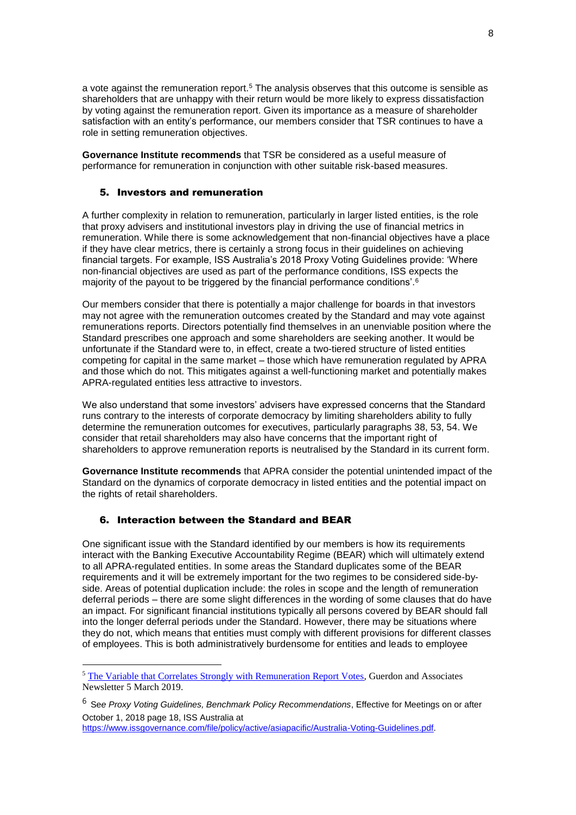a vote against the remuneration report.<sup>5</sup> The analysis observes that this outcome is sensible as shareholders that are unhappy with their return would be more likely to express dissatisfaction by voting against the remuneration report. Given its importance as a measure of shareholder satisfaction with an entity's performance, our members consider that TSR continues to have a role in setting remuneration objectives.

**Governance Institute recommends** that TSR be considered as a useful measure of performance for remuneration in conjunction with other suitable risk-based measures.

### 5. Investors and remuneration

A further complexity in relation to remuneration, particularly in larger listed entities, is the role that proxy advisers and institutional investors play in driving the use of financial metrics in remuneration. While there is some acknowledgement that non-financial objectives have a place if they have clear metrics, there is certainly a strong focus in their guidelines on achieving financial targets. For example, ISS Australia's 2018 Proxy Voting Guidelines provide: 'Where non-financial objectives are used as part of the performance conditions, ISS expects the majority of the payout to be triggered by the financial performance conditions'.<sup>6</sup>

Our members consider that there is potentially a major challenge for boards in that investors may not agree with the remuneration outcomes created by the Standard and may vote against remunerations reports. Directors potentially find themselves in an unenviable position where the Standard prescribes one approach and some shareholders are seeking another. It would be unfortunate if the Standard were to, in effect, create a two-tiered structure of listed entities competing for capital in the same market – those which have remuneration regulated by APRA and those which do not. This mitigates against a well-functioning market and potentially makes APRA-regulated entities less attractive to investors.

We also understand that some investors' advisers have expressed concerns that the Standard runs contrary to the interests of corporate democracy by limiting shareholders ability to fully determine the remuneration outcomes for executives, particularly paragraphs 38, 53, 54. We consider that retail shareholders may also have concerns that the important right of shareholders to approve remuneration reports is neutralised by the Standard in its current form.

**Governance Institute recommends** that APRA consider the potential unintended impact of the Standard on the dynamics of corporate democracy in listed entities and the potential impact on the rights of retail shareholders.

### 6. Interaction between the Standard and BEAR

1

One significant issue with the Standard identified by our members is how its requirements interact with the Banking Executive Accountability Regime (BEAR) which will ultimately extend to all APRA-regulated entities. In some areas the Standard duplicates some of the BEAR requirements and it will be extremely important for the two regimes to be considered side-byside. Areas of potential duplication include: the roles in scope and the length of remuneration deferral periods – there are some slight differences in the wording of some clauses that do have an impact. For significant financial institutions typically all persons covered by BEAR should fall into the longer deferral periods under the Standard. However, there may be situations where they do not, which means that entities must comply with different provisions for different classes of employees. This is both administratively burdensome for entities and leads to employee

[https://www.issgovernance.com/file/policy/active/asiapacific/Australia-Voting-Guidelines.pdf.](https://www.issgovernance.com/file/policy/active/asiapacific/Australia-Voting-Guidelines.pdf)

<sup>5</sup> The Variable that [Correlates Strongly with Remuneration Report Votes,](http://www.guerdonassociates.com/articles/shareholders-annual-tsr-and-voting-on-remuneration-reports/) Guerdon and Associates Newsletter 5 March 2019.

<sup>6</sup> Se*e Proxy Voting Guidelines, Benchmark Policy Recommendations*, Effective for Meetings on or after October 1, 2018 page 18, ISS Australia at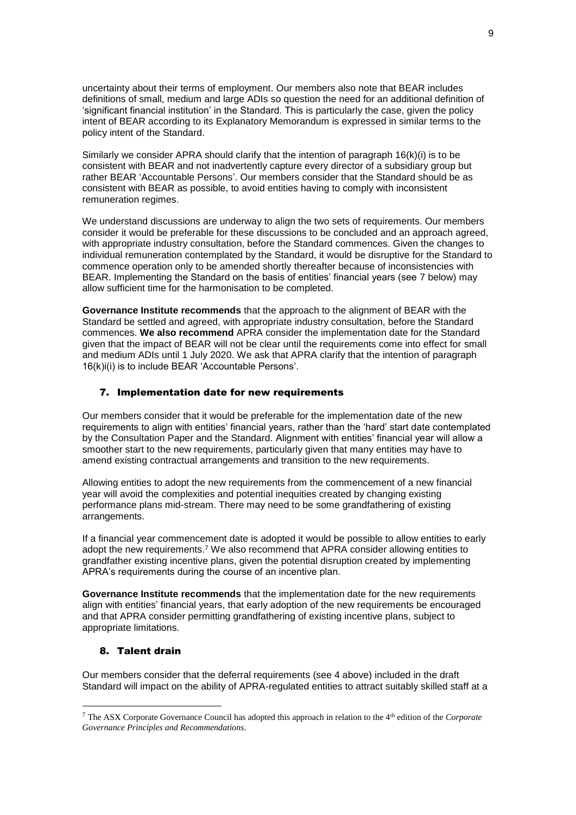uncertainty about their terms of employment. Our members also note that BEAR includes definitions of small, medium and large ADIs so question the need for an additional definition of 'significant financial institution' in the Standard. This is particularly the case, given the policy intent of BEAR according to its Explanatory Memorandum is expressed in similar terms to the policy intent of the Standard.

Similarly we consider APRA should clarify that the intention of paragraph 16(k)(i) is to be consistent with BEAR and not inadvertently capture every director of a subsidiary group but rather BEAR 'Accountable Persons'. Our members consider that the Standard should be as consistent with BEAR as possible, to avoid entities having to comply with inconsistent remuneration regimes.

We understand discussions are underway to align the two sets of requirements. Our members consider it would be preferable for these discussions to be concluded and an approach agreed, with appropriate industry consultation, before the Standard commences. Given the changes to individual remuneration contemplated by the Standard, it would be disruptive for the Standard to commence operation only to be amended shortly thereafter because of inconsistencies with BEAR. Implementing the Standard on the basis of entities' financial years (see 7 below) may allow sufficient time for the harmonisation to be completed.

**Governance Institute recommends** that the approach to the alignment of BEAR with the Standard be settled and agreed, with appropriate industry consultation, before the Standard commences. **We also recommend** APRA consider the implementation date for the Standard given that the impact of BEAR will not be clear until the requirements come into effect for small and medium ADIs until 1 July 2020. We ask that APRA clarify that the intention of paragraph 16(k)i(i) is to include BEAR 'Accountable Persons'.

### 7. Implementation date for new requirements

Our members consider that it would be preferable for the implementation date of the new requirements to align with entities' financial years, rather than the 'hard' start date contemplated by the Consultation Paper and the Standard. Alignment with entities' financial year will allow a smoother start to the new requirements, particularly given that many entities may have to amend existing contractual arrangements and transition to the new requirements.

Allowing entities to adopt the new requirements from the commencement of a new financial year will avoid the complexities and potential inequities created by changing existing performance plans mid-stream. There may need to be some grandfathering of existing arrangements.

If a financial year commencement date is adopted it would be possible to allow entities to early adopt the new requirements.<sup>7</sup> We also recommend that APRA consider allowing entities to grandfather existing incentive plans, given the potential disruption created by implementing APRA's requirements during the course of an incentive plan.

**Governance Institute recommends** that the implementation date for the new requirements align with entities' financial years, that early adoption of the new requirements be encouraged and that APRA consider permitting grandfathering of existing incentive plans, subject to appropriate limitations.

### 8. Talent drain

1

Our members consider that the deferral requirements (see 4 above) included in the draft Standard will impact on the ability of APRA-regulated entities to attract suitably skilled staff at a

<sup>7</sup> The ASX Corporate Governance Council has adopted this approach in relation to the 4th edition of the *Corporate Governance Principles and Recommendations*.